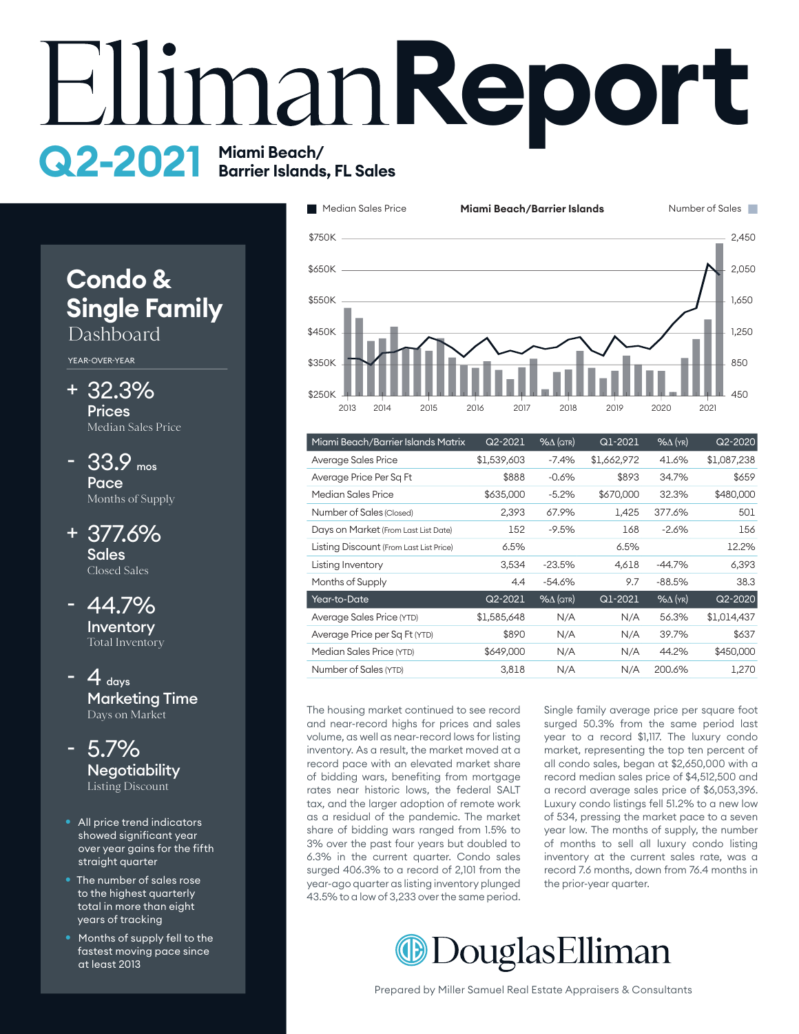# **EllimanReport Q2-2021** Miami Beach/<br>Barrier Islands, FL Sales

# **Condo & Single Family** Dashboard

#### YEAR-OVER-YEAR

32.3% + **Prices** Median Sales Price

- 33.9 mos **Pace** Months of Supply -
- 377.6% + **Sales** Closed Sales

44.7% **Inventory** Total Inventory -

 $-4$  days Marketing Time Days on Market -



- All price trend indicators showed significant year over year gains for the fifth straight quarter
- The number of sales rose to the highest quarterly total in more than eight years of tracking
- Months of supply fell to the fastest moving pace since at least 2013



| Miami Beach/Barrier Islands Matrix      | Q2-2021     | $% \triangle (QTR)$ | $Q1-2021$   | $%$ $\Delta$ (YR) | Q2-2020     |
|-----------------------------------------|-------------|---------------------|-------------|-------------------|-------------|
| Average Sales Price                     | \$1,539,603 | $-7.4%$             | \$1,662,972 | 41.6%             | \$1,087,238 |
| Average Price Per Sq Ft                 | \$888       | $-0.6%$             | \$893       | 34.7%             | \$659       |
| Median Sales Price                      | \$635,000   | $-5.2%$             | \$670,000   | 32.3%             | \$480,000   |
| Number of Sales (Closed)                | 2,393       | 67.9%               | 1.425       | 377.6%            | 501         |
| Days on Market (From Last List Date)    | 152         | $-9.5%$             | 168         | $-2.6%$           | 156         |
| Listing Discount (From Last List Price) | 6.5%        |                     | 6.5%        |                   | 12.2%       |
| Listing Inventory                       | 3,534       | $-23.5%$            | 4,618       | $-44.7%$          | 6,393       |
| Months of Supply                        | 4.4         | $-54.6%$            | 9.7         | $-88.5%$          | 38.3        |
| Year-to-Date                            | $Q2 - 2021$ | $%$ $\Delta$ (QTR)  | Q1-2021     | $%$ $\Delta$ (YR) | Q2-2020     |
| Average Sales Price (YTD)               | \$1,585,648 | N/A                 | N/A         | 56.3%             | \$1,014,437 |
| Average Price per Sq Ft (YTD)           | \$890       | N/A                 | N/A         | 39.7%             | \$637       |
| Median Sales Price (YTD)                | \$649,000   | N/A                 | N/A         | 44.2%             | \$450,000   |
| Number of Sales (YTD)                   | 3,818       | N/A                 | N/A         | 200.6%            | 1,270       |

The housing market continued to see record and near-record highs for prices and sales volume, as well as near-record lows for listing inventory. As a result, the market moved at a record pace with an elevated market share of bidding wars, benefiting from mortgage rates near historic lows, the federal SALT tax, and the larger adoption of remote work as a residual of the pandemic. The market share of bidding wars ranged from 1.5% to 3% over the past four years but doubled to 6.3% in the current quarter. Condo sales surged 406.3% to a record of 2,101 from the year-ago quarter as listing inventory plunged 43.5% to a low of 3,233 over the same period.

Single family average price per square foot surged 50.3% from the same period last year to a record \$1,117. The luxury condo market, representing the top ten percent of all condo sales, began at \$2,650,000 with a record median sales price of \$4,512,500 and a record average sales price of \$6,053,396. Luxury condo listings fell 51.2% to a new low of 534, pressing the market pace to a seven year low. The months of supply, the number of months to sell all luxury condo listing inventory at the current sales rate, was a record 7.6 months, down from 76.4 months in the prior-year quarter.

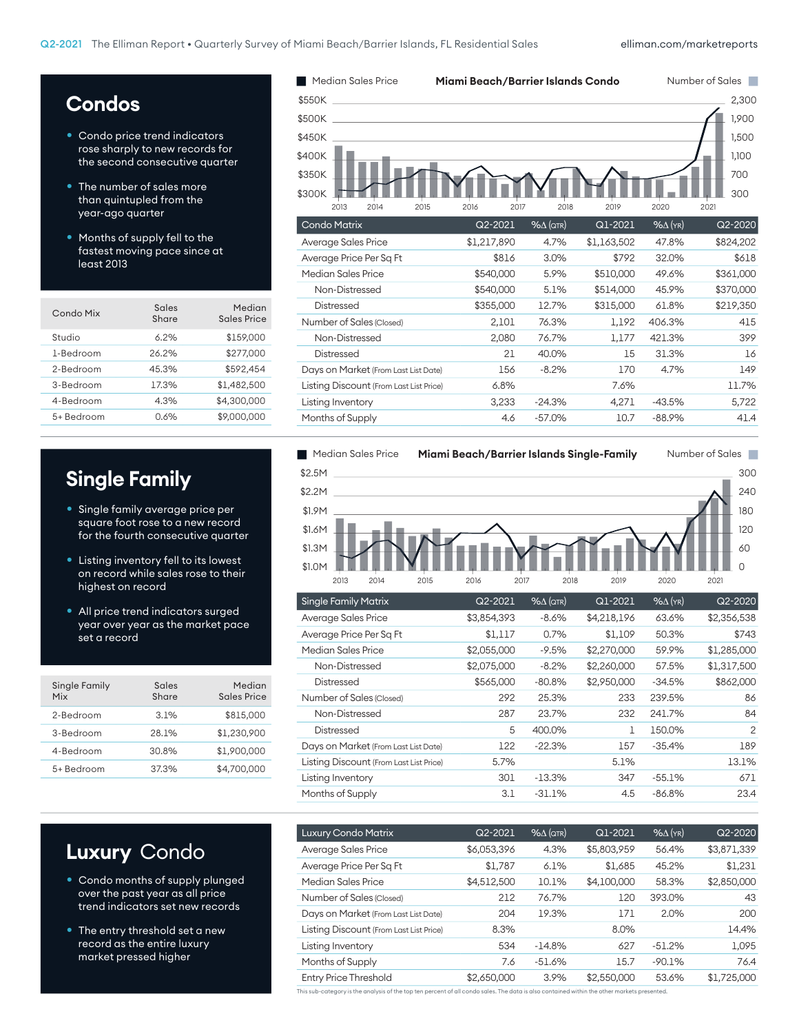## **Condos**

- Condo price trend indicators rose sharply to new records for the second consecutive quarter
- The number of sales more than quintupled from the year-ago quarter
- Months of supply fell to the fastest moving pace since at least 2013

| Sales<br>Share | Median<br>Sales Price |
|----------------|-----------------------|
| 6.2%           | \$159,000             |
| 26.2%          | \$277,000             |
| 45.3%          | \$592.454             |
| 17.3%          | \$1,482,500           |
| 4.3%           | \$4.300.000           |
| 0.6%           | \$9,000,000           |
|                |                       |

## **Single Family**

- Single family average price per square foot rose to a new record for the fourth consecutive quarter
- Listing inventory fell to its lowest on record while sales rose to their highest on record
- All price trend indicators surged year over year as the market pace set a record

| Single Family<br>Mix | Sales<br>Share | Median<br>Sales Price |
|----------------------|----------------|-----------------------|
| 2-Bedroom            | 3.1%           | \$815,000             |
| 3-Bedroom            | 28.1%          | \$1,230,900           |
| 4-Bedroom            | 30.8%          | \$1,900,000           |
| 5+ Bedroom           | 37.3%          | \$4.700.000           |





| <b>Single Family Matrix</b>             | Q2-2021     | $% \triangle (QTR)$ | Q1-2021     | $% \triangle$ (YR) | Q2-2020     |
|-----------------------------------------|-------------|---------------------|-------------|--------------------|-------------|
| Average Sales Price                     | \$3,854,393 | $-8.6%$             | \$4,218,196 | 63.6%              | \$2,356,538 |
| Average Price Per Sq Ft                 | \$1,117     | 0.7%                | \$1,109     | 50.3%              | \$743       |
| Median Sales Price                      | \$2,055,000 | $-9.5%$             | \$2,270,000 | 59.9%              | \$1,285,000 |
| Non-Distressed                          | \$2,075,000 | $-8.2%$             | \$2,260,000 | 57.5%              | \$1,317,500 |
| <b>Distressed</b>                       | \$565,000   | $-80.8%$            | \$2,950,000 | $-34.5%$           | \$862,000   |
| Number of Sales (Closed)                | 292         | 25.3%               | 233         | 239.5%             | 86          |
| Non-Distressed                          | 287         | 23.7%               | 232         | 241.7%             | 84          |
| <b>Distressed</b>                       | 5           | 400.0%              | 1           | 150.0%             | 2           |
| Days on Market (From Last List Date)    | 122         | $-22.3%$            | 157         | $-35.4%$           | 189         |
| Listing Discount (From Last List Price) | 5.7%        |                     | 5.1%        |                    | 13.1%       |
| Listing Inventory                       | 301         | $-13.3%$            | 347         | $-55.1%$           | 671         |
| Months of Supply                        | 3.1         | $-31.1%$            | 4.5         | $-86.8%$           | 23.4        |
|                                         |             |                     |             |                    |             |

## **Luxury** Condo

- Condo months of supply plunged over the past year as all price trend indicators set new records
- The entry threshold set a new record as the entire luxury market pressed higher

| $Q2 - 2021$ | $% \triangle (QTR)$ | Q1-2021     | $%$ $\Delta$ (YR) | Q2-2020     |
|-------------|---------------------|-------------|-------------------|-------------|
| \$6,053,396 | 4.3%                | \$5,803,959 | 56.4%             | \$3,871,339 |
| \$1,787     | 6.1%                | \$1,685     | 45.2%             | \$1,231     |
| \$4,512,500 | 10.1%               | \$4,100,000 | 58.3%             | \$2,850,000 |
| 212         | 76.7%               | 120         | 393.0%            | 43          |
| 204         | 19.3%               | 171         | 2.0%              | 200         |
| 8.3%        |                     | 8.0%        |                   | 14.4%       |
| 534         | $-14.8%$            | 627         | $-51.2%$          | 1,095       |
| 7.6         | $-51.6%$            | 15.7        | $-90.1%$          | 76.4        |
| \$2,650,000 | 3.9%                | \$2,550,000 | 53.6%             | \$1,725,000 |
|             |                     |             |                   |             |

This sub-category is the analysis of the top ten percent of all condo sales. The data is also contained within the other markets presented.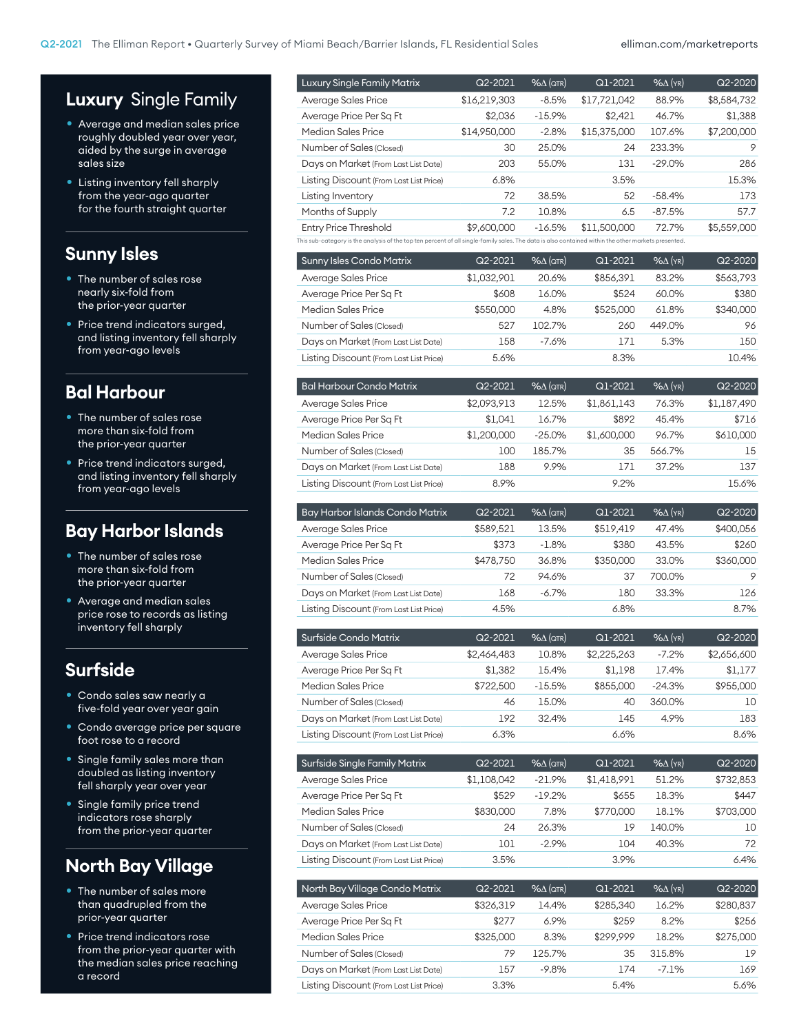## **Luxury** Single Family

- Average and median sales price roughly doubled year over year, aided by the surge in average sales size
- Listing inventory fell sharply from the year-ago quarter for the fourth straight quarter

#### **Sunny Isles**

- The number of sales rose nearly six-fold from the prior-year quarter
- Price trend indicators surged, and listing inventory fell sharply from year-ago levels

#### **Bal Harbour**

- The number of sales rose more than six-fold from the prior-year quarter
- Price trend indicators surged, and listing inventory fell sharply from year-ago levels

#### **Bay Harbor Islands**

- **•** The number of sales rose more than six-fold from the prior-year quarter
- Average and median sales price rose to records as listing inventory fell sharply

#### **Surfside**

- Condo sales saw nearly a five-fold year over year gain
- Condo average price per square foot rose to a record
- Single family sales more than doubled as listing inventory fell sharply year over year
- Single family price trend indicators rose sharply from the prior-year quarter

## **North Bay Village**

- The number of sales more than quadrupled from the prior-year quarter
- Price trend indicators rose from the prior-year quarter with the median sales price reaching a record

| Average Sales Price                                                                                                                                 | \$16,219,303 | $-8.5%$             | \$17,721,042 | 88.9%             | \$8,584,732 |
|-----------------------------------------------------------------------------------------------------------------------------------------------------|--------------|---------------------|--------------|-------------------|-------------|
| Average Price Per Sq Ft                                                                                                                             | \$2,036      | $-15.9%$            | \$2,421      | 46.7%             | \$1,388     |
| Median Sales Price                                                                                                                                  | \$14,950,000 | $-2.8%$             | \$15,375,000 | 107.6%            | \$7,200,000 |
| Number of Sales (Closed)                                                                                                                            | 30           | 25.0%               | 24           | 233.3%            | 9           |
| Days on Market (From Last List Date)                                                                                                                | 203          | 55.0%               | 131          | $-29.0%$          | 286         |
| Listing Discount (From Last List Price)                                                                                                             | 6.8%         |                     | 3.5%         |                   | 15.3%       |
| Listing Inventory                                                                                                                                   | 72           | 38.5%               | 52           | $-58.4%$          | 173         |
| Months of Supply                                                                                                                                    | 7.2          | 10.8%               | 6.5          | $-87.5%$          | 57.7        |
| <b>Entry Price Threshold</b>                                                                                                                        | \$9,600,000  | $-16.5%$            | \$11,500,000 | 72.7%             | \$5,559,000 |
| This sub-category is the analysis of the top ten percent of all single-family sales. The data is also contained within the other markets presented. |              |                     |              |                   |             |
| <b>Sunny Isles Condo Matrix</b>                                                                                                                     | Q2-2021      | $% \triangle (QTR)$ | Q1-2021      | $% \Delta$ (YR)   | $Q2 - 2020$ |
| Average Sales Price                                                                                                                                 | \$1,032,901  | 20.6%               | \$856,391    | 83.2%             | \$563,793   |
| Average Price Per Sq Ft                                                                                                                             | \$608        | 16.0%               | \$524        | 60.0%             | \$380       |
| <b>Median Sales Price</b>                                                                                                                           | \$550,000    | 4.8%                | \$525,000    | 61.8%             | \$340,000   |
| Number of Sales (Closed)                                                                                                                            | 527          | 102.7%              | 260          | 449.0%            | 96          |
| Days on Market (From Last List Date)                                                                                                                | 158          | $-7.6%$             | 171          | 5.3%              | 150         |
| Listing Discount (From Last List Price)                                                                                                             | 5.6%         |                     | 8.3%         |                   | 10.4%       |
|                                                                                                                                                     |              |                     |              |                   |             |
| <b>Bal Harbour Condo Matrix</b>                                                                                                                     | Q2-2021      | $% \triangle (QTR)$ | Q1-2021      | $%$ $\Delta$ (YR) | $Q2 - 2020$ |
| Average Sales Price                                                                                                                                 | \$2,093,913  | 12.5%               | \$1,861,143  | 76.3%             | \$1,187,490 |
| Average Price Per Sq Ft                                                                                                                             |              |                     |              |                   | \$716       |
|                                                                                                                                                     | \$1,041      | 16.7%               | \$892        | 45.4%             |             |

Luxury Single Family Matrix Q2-2021 %∆ (QTR) Q1-2021 %∆ (YR) Q2-2020

| Days on Market (From Last List Date)    | 188         | 9.9%                | 171       | 37.2%             | 137       |
|-----------------------------------------|-------------|---------------------|-----------|-------------------|-----------|
| Listing Discount (From Last List Price) | 8.9%        |                     | 9.2%      |                   | 15.6%     |
|                                         |             |                     |           |                   |           |
| Bay Harbor Islands Condo Matrix         | $Q2 - 2021$ | $% \triangle (QTR)$ | Q1-2021   | $%$ $\Delta$ (YR) | Q2-2020   |
| Average Sales Price                     | \$589,521   | 13.5%               | \$519.419 | 47.4%             | \$400,056 |
| Average Price Per Sq Ft                 | \$373       | $-1.8%$             | \$380     | 43.5%             | \$260     |
| Median Sales Price                      | \$478,750   | 36.8%               | \$350,000 | 33.0%             | \$360,000 |
| Number of Sales (Closed)                | 72          | 94.6%               | 37        | 700.0%            | 9         |
| Days on Market (From Last List Date)    | 168         | $-6.7%$             | 180       | 33.3%             | 126       |
| Listing Discount (From Last List Price) | 4.5%        |                     | 6.8%      |                   | 8.7%      |

Number of Sales (Closed) 100 185.7% 35 566.7% 15

| Surfside Condo Matrix                   | $Q2 - 2021$ | $% \triangle (QTR)$ | Q1-2021     | $%$ $\Delta$ (YR) | $Q2 - 2020$ |
|-----------------------------------------|-------------|---------------------|-------------|-------------------|-------------|
| Average Sales Price                     | \$2,464,483 | 10.8%               | \$2,225,263 | $-7.2%$           | \$2,656,600 |
| Average Price Per Sq Ft                 | \$1.382     | 15.4%               | \$1.198     | 17.4%             | \$1.177     |
| Median Sales Price                      | \$722,500   | $-15.5%$            | \$855,000   | $-24.3%$          | \$955,000   |
| Number of Sales (Closed)                | 46          | 15.0%               | 40          | 360.0%            | 10          |
| Days on Market (From Last List Date)    | 192         | 32.4%               | 145         | 4.9%              | 183         |
| Listing Discount (From Last List Price) | 6.3%        |                     | 6.6%        |                   | 8.6%        |

| Surfside Single Family Matrix           | Q2-2021     | $% \triangle (QTR)$ | Q1-2021     | $%$ $\Delta$ (YR) | $Q2 - 2020$ |
|-----------------------------------------|-------------|---------------------|-------------|-------------------|-------------|
| Average Sales Price                     | \$1,108,042 | $-21.9%$            | \$1,418,991 | 51.2%             | \$732,853   |
| Average Price Per Sq Ft                 | \$529       | $-19.2%$            | \$655       | 18.3%             | \$447       |
| Median Sales Price                      | \$830,000   | 7.8%                | \$770,000   | 18.1%             | \$703,000   |
| Number of Sales (Closed)                | 24          | 26.3%               | 19          | 140.0%            | 10          |
| Days on Market (From Last List Date)    | 101         | $-2.9%$             | 104         | 40.3%             | 72          |
| Listing Discount (From Last List Price) | 3.5%        |                     | 3.9%        |                   | 6.4%        |

| North Bay Village Condo Matrix          | Q2-2021   | $% \triangle (QTR)$ | Q1-2021   | $%$ $\Delta$ (YR) | $Q2 - 2020$ |
|-----------------------------------------|-----------|---------------------|-----------|-------------------|-------------|
| Average Sales Price                     | \$326,319 | 14.4%               | \$285.340 | 16.2%             | \$280,837   |
| Average Price Per Sq Ft                 | \$277     | 6.9%                | \$259     | 8.2%              | \$256       |
| Median Sales Price                      | \$325,000 | 8.3%                | \$299.999 | 18.2%             | \$275,000   |
| Number of Sales (Closed)                | 79        | 125.7%              | 35        | 315.8%            | 19          |
| Days on Market (From Last List Date)    | 157       | $-9.8%$             | 174       | $-7.1%$           | 169         |
| Listing Discount (From Last List Price) | 3.3%      |                     | 5.4%      |                   | 5.6%        |